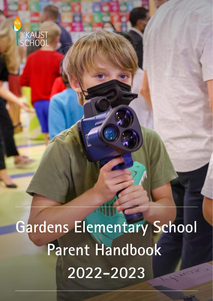

Gardens Elementary School Parent Handbook 2022-2023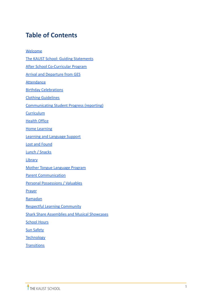# **Table of Contents**

[Welcome](#page-2-0) [The KAUST School: Guiding Statements](#page-3-0) [After School Co-Curricular Program](#page-4-0) [Arrival and Departure from GES](#page-4-1) **[Attendance](#page-5-0)** [Birthday Celebrations](#page-5-1) [Clothing Guidelines](#page-6-0) [Communicating Student Progress \(reporting\)](#page-6-1) **[Curriculum](#page-6-2)** [Health Office](#page-7-0) [Home Learning](#page-8-0) [Learning and Language Support](#page-9-0) [Lost and Found](#page-9-1) [Lunch / Snacks](#page-9-2) **[Library](#page-10-0)** [Mother Tongue Language Program](#page-10-1) [Parent Communication](#page-10-2) Personal Possessions / Valuables **[Prayer](#page-11-0)** [Ramadan](#page-11-1) [Respectful Learning Community](#page-12-0) [Shark Share Assemblies and Musical Showcases](#page-16-0) **[School Hours](#page-16-1)** [Sun Safety](#page-17-0) **[Technology](#page-17-1) [Transitions](#page-17-2)**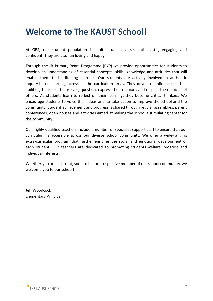# <span id="page-2-0"></span>**Welcome to The KAUST School!**

At GES, our student population is multicultural, diverse, enthusiastic, engaging and confident. They are also fun loving and happy.

Through the IB Primary Years [Programme](https://thekaustschool.fluencycms.co.uk/The-Primary-Years-Programme) (PYP) we provide opportunities for students to develop an understanding of essential concepts, skills, knowledge and attitudes that will enable them to be lifelong learners. Our students are actively involved in authentic inquiry-based learning across all the curriculum areas. They develop confidence in their abilities, think for themselves, question, express their opinions and respect the opinions of others. As students learn to reflect on their learning, they become critical thinkers. We encourage students to voice their ideas and to take action to improve the school and the community. Student achievement and progress is shared through regular assemblies, parent conferences, open houses and activities aimed at making the school a stimulating center for the community.

Our highly qualified teachers include a number of specialist support staff to ensure that our curriculum is accessible across our diverse school community. We offer a wide-ranging extra-curricular program that further enriches the social and emotional development of each student. Our teachers are dedicated to promoting students welfare, progress and individual interests.

Whether you are a current, soon to be, or prospective member of our school community, we welcome you to our school!

Jeff Woodcock Elementary Principal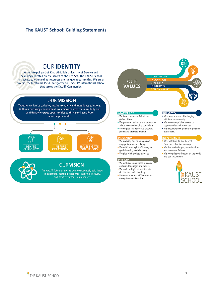# <span id="page-3-0"></span>**The KAUST School: Guiding Statements**



. We draw upon our differences to strengthen collaboration.

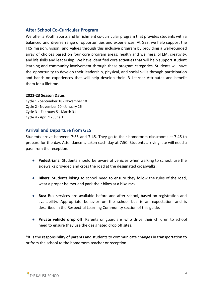# <span id="page-4-0"></span>**After School Co-Curricular Program**

We offer a Youth Sports and Enrichment co-curricular program that provides students with a balanced and diverse range of opportunities and experiences. At GES, we help support the TKS mission, vision, and values through this inclusive program by providing a well-rounded array of choices based on four core program areas; health and wellness, STEM, creativity, and life skills and leadership. We have identified core activities that will help support student learning and community involvement through these program categories. Students will have the opportunity to develop their leadership, physical, and social skills through participation and hands-on experiences that will help develop their IB Learner Attributes and benefit them for a lifetime.

#### **2022-23 Season Dates**

- Cycle 1 September 18 November 10
- Cycle 2 November 20 January 26
- Cycle 3 February 5 March 31
- Cycle 4 April 9 June 1

# <span id="page-4-1"></span>**Arrival and Departure from GES**

Students arrive between 7:35 and 7:45. They go to their homeroom classrooms at 7:45 to prepare for the day. Attendance is taken each day at 7:50. Students arriving late will need a pass from the reception.

- **Pedestrians**: Students should be aware of vehicles when walking to school, use the sidewalks provided and cross the road at the designated crosswalks.
- **Bikers:** Students biking to school need to ensure they follow the rules of the road, wear a proper helmet and park their bikes at a bike rack.
- **Bus:** Bus services are available before and after school, based on registration and availability. Appropriate behavior on the school bus is an expectation and is described in the Respectful Learning Community section of this guide.
- **Private vehicle drop off**: Parents or guardians who drive their children to school need to ensure they use the designated drop off sites.

\*It is the responsibility of parents and students to communicate changes in transportation to or from the school to the homeroom teacher or reception.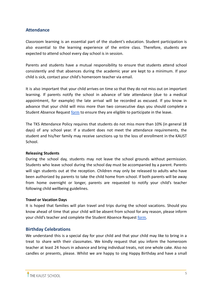# <span id="page-5-0"></span>**Attendance**

Classroom learning is an essential part of the student's education. Student participation is also essential to the learning experience of the entire class. Therefore, students are expected to attend school every day school is in session.

Parents and students have a mutual responsibility to ensure that students attend school consistently and that absences during the academic year are kept to a minimum. If your child is sick, contact your child's homeroom teacher via email.

It is also important that your child arrives on time so that they do not miss out on important learning. If parents notify the school in advance of late attendance (due to a medical appointment, for example) the late arrival will be recorded as excused. If you know in advance that your child will miss more than two consecutive days you should complete a Student Absence Request [form](https://docs.google.com/a/thekaustschool.org/forms/d/e/1FAIpQLSdh-On2pC2tgemY_sNXBYulcpLpIEBj2RT9hBUj8ZP-I1udOg/viewform) to ensure they are eligible to participate in the leave.

The TKS Attendance Policy requires that students do not miss more than 10% (in general 18 days) of any school year. If a student does not meet the attendance requirements, the student and his/her family may receive sanctions up to the loss of enrollment in the KAUST School.

#### **Releasing Students**

During the school day, students may not leave the school grounds without permission. Students who leave school during the school day must be accompanied by a parent. Parents will sign students out at the reception. Children may only be released to adults who have been authorized by parents to take the child home from school. If both parents will be away from home overnight or longer, parents are requested to notify your child's teacher following child wellbeing guidelines.

#### **Travel or Vacation Days**

It is hoped that families will plan travel and trips during the school vacations. Should you know ahead of time that your child will be absent from school for any reason, please inform your child's teacher and complete the Student Absence Request [form.](https://docs.google.com/a/thekaustschool.org/forms/d/e/1FAIpQLSdh-On2pC2tgemY_sNXBYulcpLpIEBj2RT9hBUj8ZP-I1udOg/viewform)

# <span id="page-5-1"></span>**Birthday Celebrations**

We understand this is a special day for your child and that your child may like to bring in a treat to share with their classmates. We kindly request that you inform the homeroom teacher at least 24 hours in advance and bring individual treats, not one whole cake. Also no candles or presents, please. Whilst we are happy to sing Happy Birthday and have a small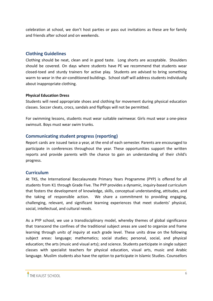celebration at school, we don't host parties or pass out invitations as these are for family and friends after school and on weekends.

# <span id="page-6-0"></span>**Clothing Guidelines**

Clothing should be neat, clean and in good taste. Long shorts are acceptable. Shoulders should be covered. On days where students have PE we recommend that students wear closed-toed and sturdy trainers for active play. Students are advised to bring something warm to wear in the air-conditioned buildings. School staff will address students individually about inappropriate clothing.

# **Physical Education Dress**

Students will need appropriate shoes and clothing for movement during physical education classes. Soccer cleats, crocs, sandals and flipflops will not be permitted.

For swimming lessons, students must wear suitable swimwear. Girls must wear a one-piece swimsuit. Boys must wear swim trunks.

# <span id="page-6-1"></span>**Communicating student progress (reporting)**

Report cards are issued twice a year, at the end of each semester. Parents are encouraged to participate in conferences throughout the year. These opportunities support the written reports and provide parents with the chance to gain an understanding of their child's progress.

# <span id="page-6-2"></span>**Curriculum**

At TKS, the International Baccalaureate Primary Years Programme (PYP) is offered for all students from K1 through Grade Five. The PYP provides a dynamic, inquiry-based curriculum that fosters the development of knowledge, skills, conceptual understanding, attitudes, and the taking of responsible action. We share a commitment to providing engaging, challenging, relevant, and significant learning experiences that meet students' physical, social, intellectual, and cultural needs.

As a PYP school, we use a transdisciplinary model, whereby themes of global significance that transcend the confines of the traditional subject areas are used to organize and frame learning through *units of inquiry* at each grade level. These units draw on the following subject areas: language; mathematics; social studies; personal, social, and physical education; the arts (music and visual arts); and science. Students participate in single subject classes with specialist teachers for physical education, visual arts, music and Arabic language. Muslim students also have the option to participate in Islamic Studies. Counsellors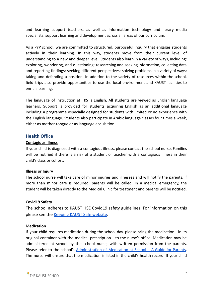and learning support teachers, as well as information technology and library media specialists, support learning and development across all areas of our curriculum.

As a PYP school, we are committed to structured, purposeful inquiry that engages students actively in their learning. In this way, students move from their current level of understanding to a new and deeper level. Students also learn in a variety of ways, including: exploring, wondering, and questioning; researching and seeking information; collecting data and reporting findings; seeking different perspectives; solving problems in a variety of ways; taking and defending a position. In addition to the variety of resources within the school, field trips also provide opportunities to use the local environment and KAUST facilities to enrich learning.

The language of instruction at TKS is English. All students are viewed as English language learners. Support is provided for students acquiring English as an additional language including a programme especially designed for students with limited or no experience with the English language. Students also participate in Arabic language classes four times a week, either as mother-tongue or as language acquisition.

# <span id="page-7-0"></span>**Health Office**

# **Contagious Illness**

If your child is diagnosed with a contagious illness, please contact the school nurse. Families will be notified if there is a risk of a student or teacher with a contagious illness in their child's class or cohort.

# **Illness or Injury**

The school nurse will take care of minor injuries and illnesses and will notify the parents. If more than minor care is required, parents will be called. In a medical emergency, the student will be taken directly to the Medical Clinic for treatment and parents will be notified.

# **Covid19 Safety**

The school adheres to KAUST HSE Covid19 safety guidelines. For information on this please see the [Keeping](https://hse.kaust.edu.sa/Services/Pages/covid-19.aspx) KAUST Safe website.

# **Medication**

If your child requires medication during the school day, please bring the medication - in its original container with the medical prescription - to the nurse's office. Medication may be administered at school by the school nurse, with written permission from the parents. Please refer to the school's [Administration](https://drive.google.com/a/thekaustschool.org/file/d/0B9-mIxcjUZbEMzRCUzBrTXRnTXM/view?usp=sharing) of Medication at School – A Guide for Parents. The nurse will ensure that the medication is listed in the child's health record. If your child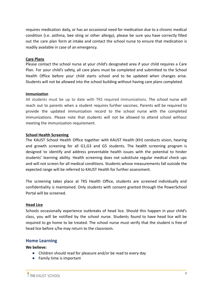requires medication daily, or has an occasional need for medication due to a chronic medical condition (i.e. asthma, bee sting or other allergy), please be sure you have correctly filled out the care plan form at intake and contact the school nurse to ensure that medication is readily available in case of an emergency.

#### **Care Plans**

Please contact the school nurse at your child's designated area if your child requires a Care Plan. For your child's safety, all care plans must be completed and submitted to the School Health Office before your child starts school and to be updated when changes arise. Students will not be allowed into the school building without having care plans completed.

#### **Immunization**

All students must be up to date with TKS required immunizations. The school nurse will reach out to parents when a student requires further vaccines. Parents will be required to provide the updated immunization record to the school nurse with the completed immunizations. Please note that students will not be allowed to attend school without meeting the immunization requirement.

#### **School Health Screening**

The KAUST School Health Office together with KAUST Health (KH) conducts vision, hearing and growth screening for all G1,G3 and G5 students**.** The health screening program is designed to identify and address preventable health issues with the potential to hinder students' learning ability. Health screening does not substitute regular medical check ups and will not screen for all medical conditions. Students whose measurements fall outside the expected range will be referred to KAUST Health for further assessment.

The screening takes place at TKS Health Office, students are screened individually and confidentiality is maintained. Only students with consent granted through the PowerSchool Portal will be screened.

# **Head Lice**

Schools occasionally experience outbreaks of head lice. Should this happen in your child's class, you will be notified by the school nurse. Students found to have head lice will be required to go home to be treated. The school nurse must verify that the student is free of head lice before s/he may return to the classroom.

# <span id="page-8-0"></span>**Home Learning**

#### **We believe:**

- Children should read for pleasure and/or be read to every day
- Family time is important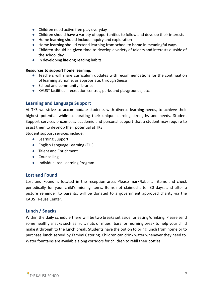- Children need active free play everyday
- Children should have a variety of opportunities to follow and develop their interests
- Home learning should include inquiry and exploration
- Home learning should extend learning from school to home in meaningful ways
- Children should be given time to develop a variety of talents and interests outside of the school day
- In developing lifelong reading habits

#### **Resources to support home learning:**

- Teachers will share curriculum updates with recommendations for the continuation of learning at home, as appropriate, through Seesa
- School and community libraries
- KAUST facilities recreation centres, parks and playgrounds, etc.

# <span id="page-9-0"></span>**Learning and Language Support**

At TKS we strive to accommodate students with diverse learning needs, to achieve their highest potential while celebrating their unique learning strengths and needs. Student Support services encompass academic and personal support that a student may require to assist them to develop their potential at TKS.

Student support services include:

- Learning Support
- English Language Learning (ELL)
- Talent and Enrichment
- Counselling
- Individualized Learning Program

# <span id="page-9-1"></span>**Lost and Found**

Lost and Found is located in the reception area. Please mark/label all items and check periodically for your child's missing items. Items not claimed after 30 days, and after a picture reminder to parents, will be donated to a government approved charity via the KAUST Reuse Center.

# <span id="page-9-2"></span>**Lunch / Snacks**

Within the daily schedule there will be two breaks set aside for eating/drinking. Please send some healthy snacks such as fruit, nuts or muesli bars for morning break to help your child make it through to the lunch break. Students have the option to bring lunch from home or to purchase lunch served by Tamimi Catering. Children can drink water whenever they need to. Water fountains are available along corridors for children to refill their bottles.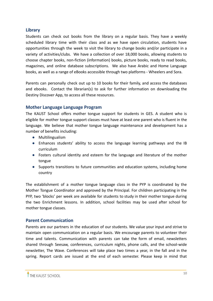# <span id="page-10-0"></span>**Library**

Students can check out books from the library on a regular basis. They have a weekly scheduled library time with their class and as we have open circulation, students have opportunities through the week to visit the library to change books and/or participate in a variety of activities/clubs. We have a collection of over 18,000 books, allowing students to choose chapter books, non-fiction (information) books, picture books, ready to read books, magazines, and online database subscriptions. We also have Arabic and Home Language books, as well as a range of eBooks accessible through two platforms - Wheelers and Sora.

Parents can personally check out up to 10 books for their family, and access the databases and ebooks. Contact the librarian(s) to ask for further information on downloading the Destiny Discover App, to access all these resources.

# <span id="page-10-1"></span>**Mother Language Language Program**

The KAUST School offers mother tongue support for students in GES. A student who is eligible for mother tongue support classes must have at least one parent who is fluent in the language. We believe that mother tongue language maintenance and development has a number of benefits including:

- Multilingualism
- Enhances students' ability to access the language learning pathways and the IB curriculum
- Fosters cultural identity and esteem for the language and literature of the mother tongue
- Supports transitions to future communities and education systems, including home country

The establishment of a mother tongue language class in the PYP is coordinated by the Mother Tongue Coordinator and approved by the Principal. For children participating in the PYP, two 'blocks' per week are available for students to study in their mother tongue during the two Enrichment lessons. In addition, school facilities may be used after school for mother tongue classes.

# <span id="page-10-2"></span>**Parent Communication**

Parents are our partners in the education of our students. We value your input and strive to maintain open communication on a regular basis. We encourage parents to volunteer their time and talents. Communication with parents can take the form of email, newsletters shared through Seesaw, conferences, curriculum nights, phone calls, and the school-wide newsletter, The Wave. Conferences will take place two times a year, in the fall and in the spring. Report cards are issued at the end of each semester. Please keep in mind that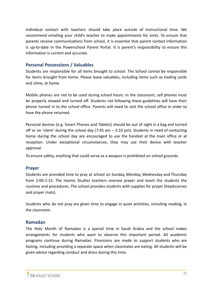individual contact with teachers should take place outside of instructional time. We recommend emailing your child's teacher to make appointments for visits. To ensure that parents receive communications from school, it is essential that parent contact information is up-to-date in the Powerschool Parent Portal. It is parent's responsibility to ensure this information is current and accurate.

# **Personal Possessions / Valuables**

Students are responsible for all items brought to school. The School cannot be responsible for items brought from home. Please leave valuables, including items such as trading cards and slime, at home.

Mobile phones are not to be used during school hours. In the classroom, cell phones must be properly stowed and turned off. Students not following these guidelines will have their phone turned in to the school office. Parents will need to visit the school office in order to have the phone returned.

Personal devices (e.g. Smart Phones and Tablets) should be out of sight in a bag and turned off or on 'silent' during the school day (7:45 am – 3:10 pm). Students in need of contacting home during the school day are encouraged to use the handset at the main office or at reception. Under exceptional circumstances, they may use their device with teacher approval.

To ensure safety, anything that could serve as a weapon is prohibited on school grounds.

# <span id="page-11-0"></span>**Prayer**

Students are provided time to pray at school on Sunday, Monday, Wednesday and Thursday from 2:00-2:15. The Islamic Studies teachers oversee prayer and teach the students the routines and procedures. The school provides students with supplies for prayer (headscarves and prayer mats).

Students who do not pray are given time to engage in quiet activities, including reading, in the classroom.

# <span id="page-11-1"></span>**Ramadan**

The Holy Month of Ramadan is a special time in Saudi Arabia and the school makes arrangements for students who want to observe this important period. All academic programs continue during Ramadan. Provisions are made to support students who are fasting, including providing a separate space when classmates are eating. All students will be given advice regarding conduct and dress during this time.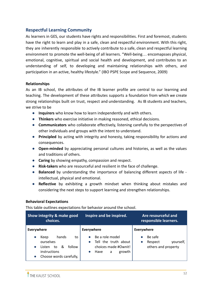# <span id="page-12-0"></span>**Respectful Learning Community**

As learners in GES, our students have rights and responsibilities. First and foremost, students have the right to learn and play in a safe, clean and respectful environment. With this right, they are inherently responsible to actively contribute to a safe, clean and respectful learning environment to promote the well-being of all learners. "Well-being… encomapsses physical, emotional, cognitive, spiritual and social health and development, and contributes to an understanding of self, to developing and maintaining relationships with others, and participation in an active, healthy lifestyle." (IBO PSPE Scope and Sequence, 2009)

#### **Relationships**

As an IB school, the attributes of the IB learner profile are central to our learning and teaching. The development of these attributes supports a foundation from which we create strong relationships built on trust, respect and understanding. As IB students and teachers, we strive to be

- **Inquirers** who know how to learn independently and with others.
- **Thinkers** who exercise initiative in making reasoned, ethical decisions.
- **Communicators** who collaborate effectively, listening carefully to the perspectives of other individuals and groups with the intent to understand.
- **Principled** by acting with integrity and honesty, taking responsibility for actions and consequences.
- **Open-minded** by appreciating personal cultures and histories, as well as the values and traditions of others.
- **Caring** by showing empathy, compassion and respect.
- **● Risk-takers** who are resourceful and resilient in the face of challenge.
- **● Balanced** by understanding the importance of balancing different aspects of life intellectual, physical and emotional.
- **● Reflective** by exhibiting a growth mindset when thinking about mistakes and considering the next steps to support learning and strengthen relationships.

#### **Behavioral Expectations**

This table outlines expectations for behavior around the school.

| <b>Show integrity &amp; make good</b><br>choices.                               | Inspire and be inspired.                                                               | Are resourceful and<br>responsible learners.           |
|---------------------------------------------------------------------------------|----------------------------------------------------------------------------------------|--------------------------------------------------------|
| <b>Everywhere</b>                                                               | <b>Everywhere</b>                                                                      | <b>Everywhere</b>                                      |
| hands<br>Keep<br>to<br>ourselves<br>&<br>follow<br>to<br>Listen<br>instructions | Be a role model<br>Tell the truth about<br>choices made #Ownit!<br>growth<br>Have<br>a | Be safe<br>yourself,<br>Respect<br>others and property |
| Choose words carefully,                                                         |                                                                                        |                                                        |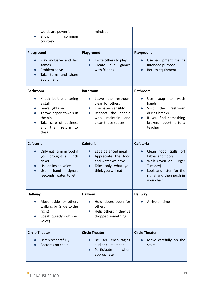| words are powerful<br>Show<br>common<br>courtesy                                                                                                                        | mindset                                                                                                                                                   |                                                                                                                                                                                |
|-------------------------------------------------------------------------------------------------------------------------------------------------------------------------|-----------------------------------------------------------------------------------------------------------------------------------------------------------|--------------------------------------------------------------------------------------------------------------------------------------------------------------------------------|
| Playground<br>Play inclusive and fair<br>games<br>Problem solve<br>$\bullet$<br>Take turns and share<br>equipment                                                       | Playground<br>Invite others to play<br>Create<br>fun<br>games<br>with friends                                                                             | Playground<br>Use equipment for its<br>intended purpose<br>Return equipment                                                                                                    |
| <b>Bathroom</b><br>Knock before entering<br>a stall<br>Leave lights on<br>Throw paper towels in<br>the bin<br>Take care of business<br>and then return to<br>class      | <b>Bathroom</b><br>Leave the restroom<br>clean for others<br>Use paper sensibly<br>Respect the people<br>who<br>maintain<br>and<br>clean these spaces     | <b>Bathroom</b><br><b>Use</b><br>soap<br>wash<br>to<br>hands<br><b>Visit</b><br>the<br>restroom<br>during breaks<br>If you find something<br>broken, report it to a<br>teacher |
| <b>Cafeteria</b><br>Only eat Tamimi food if<br>$\bullet$<br>you brought a lunch<br>ticket<br>Use an inside voice<br>hand<br>signals<br>Use.<br>(seconds, water, toilet) | <b>Cafeteria</b><br>Eat a balanced meal<br>Appreciate the food<br>$\bullet$<br>and water we have<br>Take only what you<br>$\bullet$<br>think you will eat | Cafeteria<br>Clean food spills off<br>tables and floors<br>Walk (even on Burger<br>Tuesday)<br>Look and listen for the<br>$\bullet$<br>signal and then push in<br>your chair   |
| <b>Hallway</b><br>Move aside for others<br>walking by (slide to the<br>right)<br>Speak quietly (whisper<br>voice)                                                       | <b>Hallway</b><br>Hold doors open for<br>others<br>Help others if they've<br>dropped something                                                            | <b>Hallway</b><br>Arrive on time                                                                                                                                               |
| <b>Circle Theater</b><br>Listen respectfully<br>Bottoms on chairs                                                                                                       | <b>Circle Theater</b><br>encouraging<br><b>Be</b><br>an<br>audience member<br>Participate<br>when<br>appropriate                                          | <b>Circle Theater</b><br>Move carefully on the<br>stairs                                                                                                                       |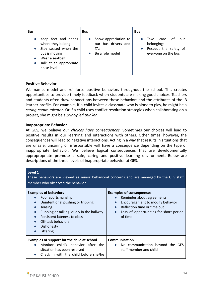| <b>Bus</b>                                                                                                                                    | <b>Bus</b>                                                                   | <b>Bus</b>                                                                              |
|-----------------------------------------------------------------------------------------------------------------------------------------------|------------------------------------------------------------------------------|-----------------------------------------------------------------------------------------|
| Keep feet and hands<br>where they belong<br>Stay seated when the<br>bus is moving<br>Wear a seatbelt<br>Talk at an appropriate<br>noise level | Show appreciation to<br>our bus drivers and<br><b>TAs</b><br>Be a role model | Take<br>care<br>0t<br>our<br>belongings<br>Respect the safety of<br>everyone on the bus |

#### **Positive Behavior**

We name, model and reinforce positive behaviors throughout the school. This creates opportunities to provide timely feedback when students are making good choices. Teachers and students often draw connections between these behaviors and the attributes of the IB learner profile. For example, if a child invites a classmate who is alone to play, he might be a *caring communicator*. Or if a child uses conflict resolution strategies when collaborating on a project, she might be a *principled thinker*.

#### **Inappropriate Behavior**

At GES, we believe *our choices have consequences*. Sometimes our choices will lead to positive results in our learning and interactions with others. Other times, however, the consequences will lead to negative interactions. Acting in a way that results in situations that are unsafe, uncaring or irresponsible will have a consequence depending on the type of inappropriate behavior. We believe logical consequences that are developmentally appropropriate promote a safe, caring and positive learning environment. Below are descriptions of the three levels of inappropriate behavior at GES.

| Level 1<br>These behaviors are viewed as minor behavioral concerns and are managed by the GES staff<br>member who observed the behavior.                                                                                                            |                                                                                                                                                                                                                             |  |  |  |
|-----------------------------------------------------------------------------------------------------------------------------------------------------------------------------------------------------------------------------------------------------|-----------------------------------------------------------------------------------------------------------------------------------------------------------------------------------------------------------------------------|--|--|--|
| <b>Examples of behaviors</b><br>Poor sportsmanship<br>Unintentional pushing or tripping<br><b>Teasing</b><br>Running or talking loudly in the hallway<br>$\bullet$<br>Persistent lateness to class<br>Off-task behaviors<br>Dishonesty<br>Littering | <b>Examples of consequences</b><br>Reminder about agreements<br>Encouragement to modify behavior<br>$\bullet$<br>Reflection time or time out<br>$\bullet$<br>Loss of opportunities for short period<br>$\bullet$<br>of time |  |  |  |
| Examples of support for the child at school<br>Monitor child's behavior after the<br>situation has been resolved<br>Check in with the child before she/he                                                                                           | Communication<br>No communication beyond the GES<br>staff member and child                                                                                                                                                  |  |  |  |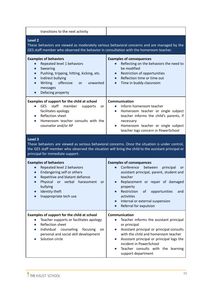| transitions to the next activity                                                                                                                                                                                                                                  |                                                                                                                                                                                                                                                                                                                                                          |  |  |
|-------------------------------------------------------------------------------------------------------------------------------------------------------------------------------------------------------------------------------------------------------------------|----------------------------------------------------------------------------------------------------------------------------------------------------------------------------------------------------------------------------------------------------------------------------------------------------------------------------------------------------------|--|--|
| <b>Level 2</b><br>These behaviors are viewed as moderately serious behavioral concerns and are managed by the<br>GES staff member who observed the behavior in consultation with the homeroom teacher.                                                            |                                                                                                                                                                                                                                                                                                                                                          |  |  |
| <b>Examples of behaviors</b><br>Repeated level 1 behaviors<br>Swearing<br>Pushing, tripping, hitting, kicking, etc.<br>Indirect bullying<br>$\bullet$<br>Writing<br>offensive<br>unwanted<br><b>or</b><br>messages<br>Defacing property<br>$\bullet$              | <b>Examples of consequences</b><br>Reflecting on the behaviors the need to<br>be modified<br>Restriction of opportunities<br>$\bullet$<br>Reflection time or time out<br>$\bullet$<br>Time in buddy classroom<br>$\bullet$                                                                                                                               |  |  |
| Examples of support for the child at school<br>staff<br>member<br><b>GES</b><br>supports<br>or<br>facilitates apology<br>Reflection sheet<br>$\bullet$<br>Homeroom teacher consults with the<br>$\bullet$<br>counselor and/or AP                                  | Communication<br>Inform homeroom teacher<br>Homeroom teacher or single subject<br>$\bullet$<br>teacher informs the child's parents, if<br>necessary<br>Homeroom teacher or single subject<br>$\bullet$<br>teacher logs concern in PowerSchool                                                                                                            |  |  |
| Level 3<br>These behaviors are viewed as serious behavioral concerns. Once the situation is under control,<br>the GES staff member who observed the situation will bring the child to the assistant principal or<br>principal for immediate support.              |                                                                                                                                                                                                                                                                                                                                                          |  |  |
| <b>Examples of behaviors</b><br>Repeated level 2 behaviors<br>$\bullet$<br>Endangering self or others<br>$\bullet$<br>Repetitive and blatant defiance<br>Physical<br>or verbal<br>harassment<br><b>or</b><br>bullying<br>Identity theft<br>Inappropriate tech use | <b>Examples of consequences</b><br>Conference<br>between<br>principal<br><b>or</b><br>assistant principal, parent, student and<br>teacher<br>Replacement or repair of damaged<br>$\bullet$<br>property<br>opportunities<br>Restriction<br>0f<br>and<br>activities<br>Internal or external suspension<br>$\bullet$<br>Referral for expulsion<br>$\bullet$ |  |  |
| Examples of support for the child at school<br>Teacher supports or facilitates apology<br>Reflection sheet<br>Individual<br>counseling<br>focusing<br>on<br>personal and social skill development<br>Solution circle                                              | Communication<br>Teacher informs the assistant principal<br>or principal<br>Assistant principal or principal consults<br>$\bullet$<br>with the child and homeroom teacher<br>Assistant principal or principal logs the<br>incident in PowerSchool<br>Teacher consults with the learning<br>support department                                            |  |  |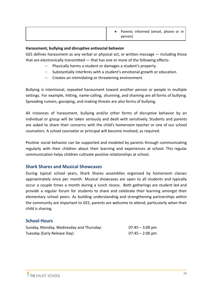|  | Parents informed (email, phone or in  <br>person) |
|--|---------------------------------------------------|
|--|---------------------------------------------------|

#### **Harassment, bullying and disruptive antisocial behavior**

GES defines harassment as any verbal or physical act, or written message — including those that are electronically transmitted  $-$  that has one or more of the following effects:

- **○** Physically harms a student or damages a student's property.
- **○** Substantially interferes with a student's emotional growth or education.
- **○** Creates an intimidating or threatening environment.

Bullying is intentional, repeated harassment toward another person or people in multiple settings. For example, hitting, name-calling, shunning, and shaming are all forms of bullying. Spreading rumors, gossiping, and making threats are also forms of bullying.

All instances of harassment, bullying and/or other forms of disruptive behavior by an individual or group will be taken seriously and dealt with sensitively. Students and parents are asked to share their concerns with the child's homeroom teacher or one of our school counselors. A school counselor or principal will become involved, as required.

Positive social behavior can be supported and modeled by parents through communicating regularly with their children about their learning and experiences at school. This regular communication helps children cultivate positive relationships at school.

#### <span id="page-16-0"></span>**Shark Shares and Musical Showcases**

During typical school years, Shark Shares assemblies organized by homeroom classes approximately once per month. Musical showcases are open to all students and typically occur a couple times a month during a lunch recess. Both gatherings are student led and provide a regular forum for students to share and celebrate their learning amongst their elementary school peers. As building understanding and strengthening partnerships within the community are important to GES, parents are welcome to attend, particularly when their child is sharing.

# <span id="page-16-1"></span>**School Hours**

| Sunday, Monday, Wednesday and Thursday: | $07:45 - 3:00 \text{ pm}$ |
|-----------------------------------------|---------------------------|
| Tuesday (Early Release Day)             | $07:45 - 2:00 \text{ pm}$ |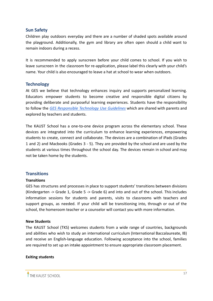#### <span id="page-17-0"></span>**Sun Safety**

Children play outdoors everyday and there are a number of shaded spots available around the playground. Additionally, the gym and library are often open should a child want to remain indoors during a recess.

It is recommended to apply sunscreen before your child comes to school. If you wish to leave sunscreen in the classroom for re-application, please label this clearly with your child's name. Your child is also encouraged to leave a hat at school to wear when outdoors.

# <span id="page-17-1"></span>**Technology**

At GES we believe that technology enhances inquiry and supports personalized learning. Educators empower students to become creative and responsible digital citizens by providing deliberate and purposeful learning experiences. Students have the responsibility to follow the *GES [Responsible](https://docs.google.com/document/d/1I5EquSBQ0-sjUvrTYXvBnn3tUcgvDJKuCU3hwV2-1P4/edit?usp=sharing) Technology Use Guidelines* which are shared with parents and explored by teachers and students.

The KAUST School has a one-to-one device program across the elementary school. These devices are integrated into the curriculum to enhance learning experiences, empowering students to create, connect and collaborate. The devices are a combination of iPads (Grades 1 and 2) and Macbooks (Grades 3 - 5). They are provided by the school and are used by the students at various times throughout the school day. The devices remain in school and may not be taken home by the students.

# <span id="page-17-2"></span>**Transitions**

#### **Transitions**

GES has structures and processes in place to support students' transitions between divisions (Kindergarten -> Grade 1, Grade 5 -> Grade 6) and into and out of the school. This includes information sessions for students and parents, visits to classrooms with teachers and support groups, as needed. If your child will be transitioning into, through or out of the school, the homeroom teacher or a counselor will contact you with more information.

#### **New Students**

The KAUST School (TKS) welcomes students from a wide range of countries, backgrounds and abilities who wish to study an international curriculum (International Baccalaureate, IB) and receive an English-language education. Following acceptance into the school, families are required to set up an intake appointment to ensure appropriate classroom placement.

#### **Exiting students**